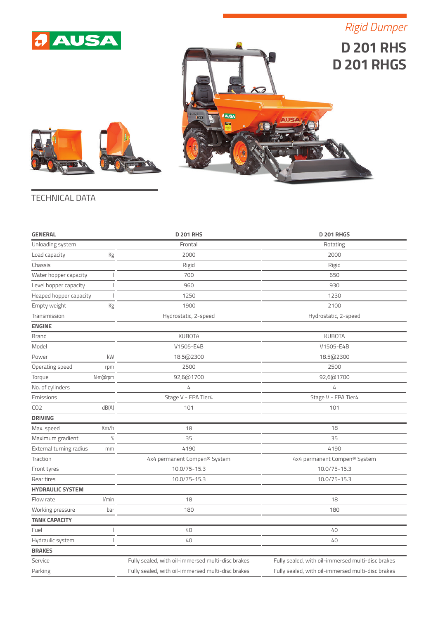

*Rigid Dumper*







## TECHNICAL DATA

| <b>GENERAL</b>                                     |                          | <b>D 201 RHS</b>                                  | <b>D 201 RHGS</b>                                 |
|----------------------------------------------------|--------------------------|---------------------------------------------------|---------------------------------------------------|
| Unloading system                                   |                          | Frontal                                           | Rotating                                          |
| Load capacity                                      | Kg                       | 2000                                              | 2000                                              |
| Chassis                                            |                          | Rigid                                             | Rigid                                             |
| Water hopper capacity                              |                          | 700                                               | 650                                               |
| Level hopper capacity                              |                          | 960                                               | 930                                               |
| Heaped hopper capacity<br>$\overline{\phantom{a}}$ |                          | 1250                                              | 1230                                              |
| Empty weight<br>Kg                                 |                          | 1900                                              | 2100                                              |
| Transmission                                       |                          | Hydrostatic, 2-speed                              | Hydrostatic, 2-speed                              |
| <b>ENGINE</b>                                      |                          |                                                   |                                                   |
| <b>Brand</b>                                       |                          | <b>KUBOTA</b>                                     | <b>KUBOTA</b>                                     |
| Model                                              |                          | V1505-E4B                                         | V1505-E4B                                         |
| Power                                              | kW                       | 18.5@2300                                         | 18.5@2300                                         |
| Operating speed                                    | rpm                      | 2500                                              | 2500                                              |
| Torque                                             | N·m@rpm                  | 92,6@1700                                         | 92,6@1700                                         |
| No. of cylinders                                   |                          | 4                                                 | 4                                                 |
| Emissions                                          |                          | Stage V - EPA Tier4                               | Stage V - EPA Tier4                               |
| CO <sub>2</sub>                                    | dB(A)                    | 101                                               | 101                                               |
| <b>DRIVING</b>                                     |                          |                                                   |                                                   |
| Max. speed                                         | Km/h                     | 18                                                | 18                                                |
| Maximum gradient                                   | $\%$                     | 35                                                | 35                                                |
| External turning radius                            | mm                       | 4190                                              | 4190                                              |
| Traction                                           |                          | 4x4 permanent Compen® System                      | 4x4 permanent Compen® System                      |
| Front tyres                                        |                          | 10.0/75-15.3                                      | 10.0/75-15.3                                      |
| Rear tires                                         |                          | 10.0/75-15.3                                      | 10.0/75-15.3                                      |
| <b>HYDRAULIC SYSTEM</b>                            |                          |                                                   |                                                   |
| Flow rate                                          | l/min                    | 18                                                | 18                                                |
| Working pressure                                   | bar                      | 180                                               | 180                                               |
| <b>TANK CAPACITY</b>                               |                          |                                                   |                                                   |
| Fuel                                               | $\overline{\phantom{a}}$ | 40                                                | 40                                                |
| Hydraulic system                                   | $\overline{\phantom{a}}$ | 40                                                | 40                                                |
| <b>BRAKES</b>                                      |                          |                                                   |                                                   |
| Service                                            |                          | Fully sealed, with oil-immersed multi-disc brakes | Fully sealed, with oil-immersed multi-disc brakes |
| Parking                                            |                          | Fully sealed, with oil-immersed multi-disc brakes | Fully sealed, with oil-immersed multi-disc brakes |